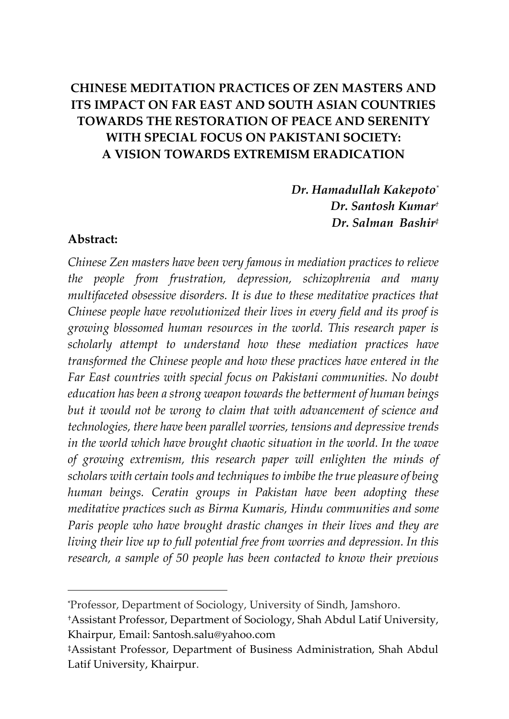# **CHINESE MEDITATION PRACTICES OF ZEN MASTERS AND ITS IMPACT ON FAR EAST AND SOUTH ASIAN COUNTRIES TOWARDS THE RESTORATION OF PEACE AND SERENITY WITH SPECIAL FOCUS ON PAKISTANI SOCIETY: A VISION TOWARDS EXTREMISM ERADICATION**

*Dr. Hamadullah Kakepoto\* Dr. Santosh Kumar† Dr. Salman Bashir‡*

#### **Abstract:**

 $\overline{a}$ 

*Chinese Zen masters have been very famous in mediation practices to relieve the people from frustration, depression, schizophrenia and many multifaceted obsessive disorders. It is due to these meditative practices that Chinese people have revolutionized their lives in every field and its proof is growing blossomed human resources in the world. This research paper is scholarly attempt to understand how these mediation practices have transformed the Chinese people and how these practices have entered in the Far East countries with special focus on Pakistani communities. No doubt education has been a strong weapon towards the betterment of human beings but it would not be wrong to claim that with advancement of science and technologies, there have been parallel worries, tensions and depressive trends in the world which have brought chaotic situation in the world. In the wave of growing extremism, this research paper will enlighten the minds of scholars with certain tools and techniques to imbibe the true pleasure of being human beings. Ceratin groups in Pakistan have been adopting these meditative practices such as Birma Kumaris, Hindu communities and some Paris people who have brought drastic changes in their lives and they are living their live up to full potential free from worries and depression. In this research, a sample of 50 people has been contacted to know their previous* 

<sup>\*</sup>Professor, Department of Sociology, University of Sindh, Jamshoro.

<sup>†</sup>Assistant Professor, Department of Sociology, Shah Abdul Latif University, Khairpur, Email: Santosh.salu@yahoo.com

<sup>‡</sup>Assistant Professor, Department of Business Administration, Shah Abdul Latif University, Khairpur.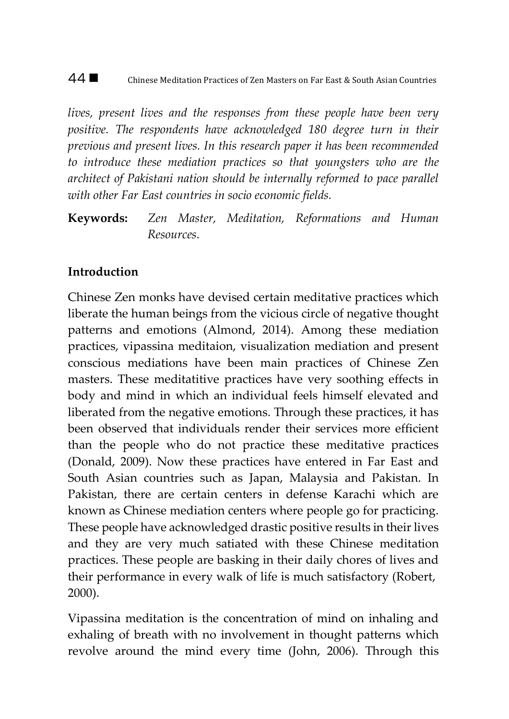#### 44 ■ Chinese Meditation Practices of Zen Masters on Far East & South Asian Countries

*lives, present lives and the responses from these people have been very positive. The respondents have acknowledged 180 degree turn in their previous and present lives. In this research paper it has been recommended to introduce these mediation practices so that youngsters who are the architect of Pakistani nation should be internally reformed to pace parallel with other Far East countries in socio economic fields.* 

**Keywords:** *Zen Master, Meditation, Reformations and Human Resources.*

## **Introduction**

Chinese Zen monks have devised certain meditative practices which liberate the human beings from the vicious circle of negative thought patterns and emotions (Almond, 2014). Among these mediation practices, vipassina meditaion, visualization mediation and present conscious mediations have been main practices of Chinese Zen masters. These meditatitive practices have very soothing effects in body and mind in which an individual feels himself elevated and liberated from the negative emotions. Through these practices, it has been observed that individuals render their services more efficient than the people who do not practice these meditative practices (Donald, 2009). Now these practices have entered in Far East and South Asian countries such as Japan, Malaysia and Pakistan. In Pakistan, there are certain centers in defense Karachi which are known as Chinese mediation centers where people go for practicing. These people have acknowledged drastic positive results in their lives and they are very much satiated with these Chinese meditation practices. These people are basking in their daily chores of lives and their performance in every walk of life is much satisfactory (Robert, 2000).

Vipassina meditation is the concentration of mind on inhaling and exhaling of breath with no involvement in thought patterns which revolve around the mind every time (John, 2006). Through this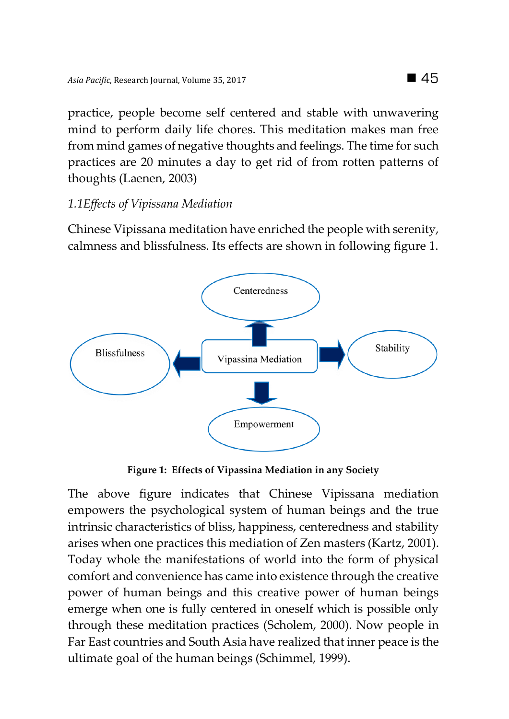practice, people become self centered and stable with unwavering mind to perform daily life chores. This meditation makes man free from mind games of negative thoughts and feelings. The time for such practices are 20 minutes a day to get rid of from rotten patterns of thoughts (Laenen, 2003)

## *1.1Effects of Vipissana Mediation*

Chinese Vipissana meditation have enriched the people with serenity, calmness and blissfulness. Its effects are shown in following figure 1.



**Figure 1: Effects of Vipassina Mediation in any Society**

The above figure indicates that Chinese Vipissana mediation empowers the psychological system of human beings and the true intrinsic characteristics of bliss, happiness, centeredness and stability arises when one practices this mediation of Zen masters (Kartz, 2001). Today whole the manifestations of world into the form of physical comfort and convenience has came into existence through the creative power of human beings and this creative power of human beings emerge when one is fully centered in oneself which is possible only through these meditation practices (Scholem, 2000). Now people in Far East countries and South Asia have realized that inner peace is the ultimate goal of the human beings (Schimmel, 1999).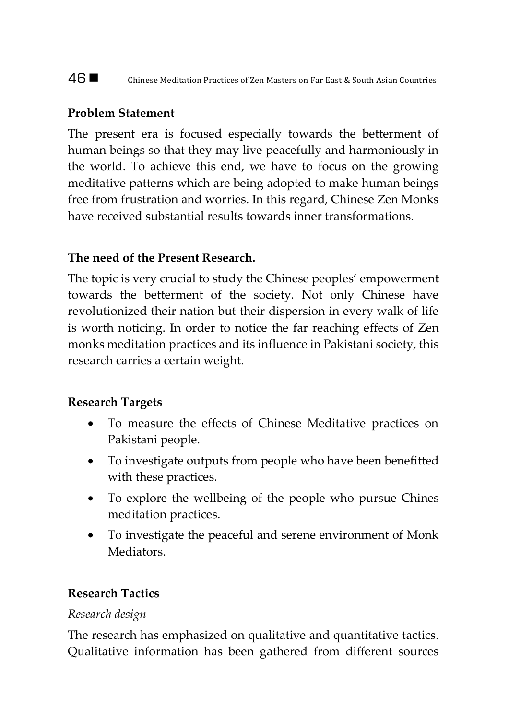## 46 ■ Chinese Meditation Practices of Zen Masters on Far East & South Asian Countries

## **Problem Statement**

The present era is focused especially towards the betterment of human beings so that they may live peacefully and harmoniously in the world. To achieve this end, we have to focus on the growing meditative patterns which are being adopted to make human beings free from frustration and worries. In this regard, Chinese Zen Monks have received substantial results towards inner transformations.

## **The need of the Present Research.**

The topic is very crucial to study the Chinese peoples' empowerment towards the betterment of the society. Not only Chinese have revolutionized their nation but their dispersion in every walk of life is worth noticing. In order to notice the far reaching effects of Zen monks meditation practices and its influence in Pakistani society, this research carries a certain weight.

## **Research Targets**

- To measure the effects of Chinese Meditative practices on Pakistani people.
- To investigate outputs from people who have been benefitted with these practices.
- To explore the wellbeing of the people who pursue Chines meditation practices.
- To investigate the peaceful and serene environment of Monk **Mediators**

## **Research Tactics**

## *Research design*

The research has emphasized on qualitative and quantitative tactics. Qualitative information has been gathered from different sources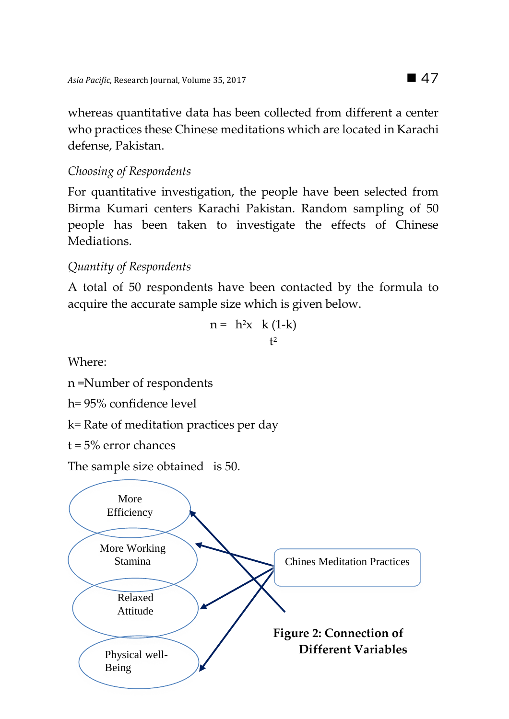whereas quantitative data has been collected from different a center who practices these Chinese meditations which are located in Karachi defense, Pakistan.

*Choosing of Respondents*

For quantitative investigation, the people have been selected from Birma Kumari centers Karachi Pakistan. Random sampling of 50 people has been taken to investigate the effects of Chinese Mediations.

# *Quantity of Respondents*

A total of 50 respondents have been contacted by the formula to acquire the accurate sample size which is given below.

$$
n = \frac{h^2x \quad k(1-k)}{t^2}
$$

Where:

n =Number of respondents

h= 95% confidence level

k= Rate of meditation practices per day

t = 5% error chances

The sample size obtained is 50.

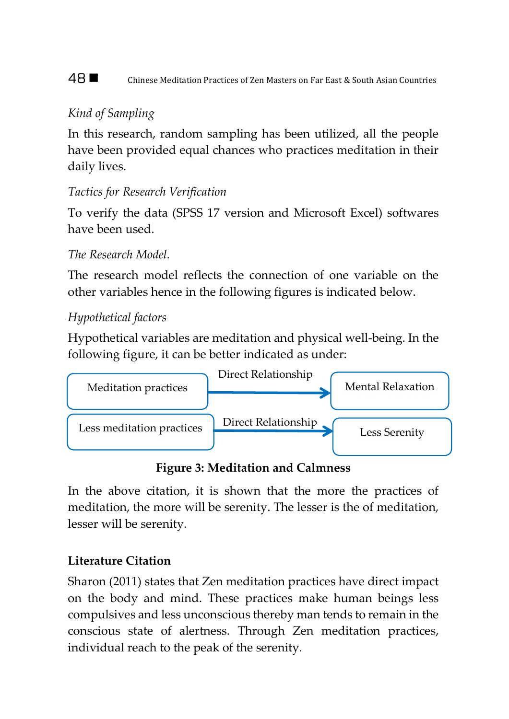48 ■ Chinese Meditation Practices of Zen Masters on Far East & South Asian Countries

# *Kind of Sampling*

In this research, random sampling has been utilized, all the people have been provided equal chances who practices meditation in their daily lives.

# *Tactics for Research Verification*

To verify the data (SPSS 17 version and Microsoft Excel) softwares have been used.

## *The Research Model.*

The research model reflects the connection of one variable on the other variables hence in the following figures is indicated below.

# *Hypothetical factors*

Hypothetical variables are meditation and physical well-being. In the following figure, it can be better indicated as under:



**Figure 3: Meditation and Calmness**

In the above citation, it is shown that the more the practices of meditation, the more will be serenity. The lesser is the of meditation, lesser will be serenity.

# **Literature Citation**

Sharon (2011) states that Zen meditation practices have direct impact on the body and mind. These practices make human beings less compulsives and less unconscious thereby man tends to remain in the conscious state of alertness. Through Zen meditation practices, individual reach to the peak of the serenity.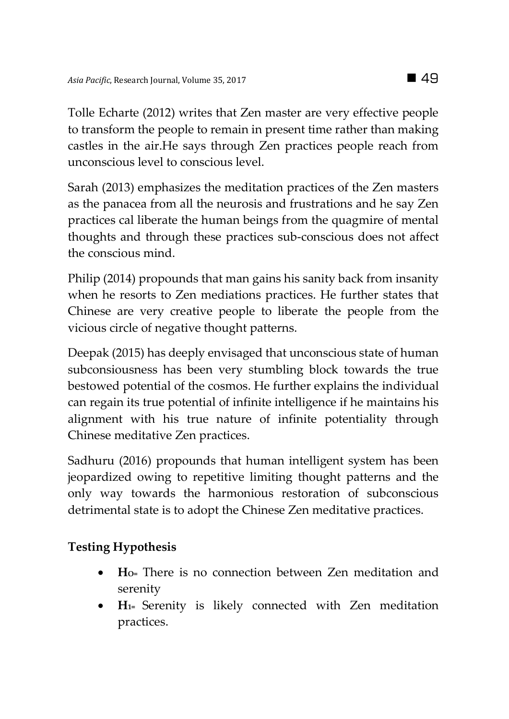Tolle Echarte (2012) writes that Zen master are very effective people to transform the people to remain in present time rather than making castles in the air.He says through Zen practices people reach from unconscious level to conscious level.

Sarah (2013) emphasizes the meditation practices of the Zen masters as the panacea from all the neurosis and frustrations and he say Zen practices cal liberate the human beings from the quagmire of mental thoughts and through these practices sub-conscious does not affect the conscious mind.

Philip (2014) propounds that man gains his sanity back from insanity when he resorts to Zen mediations practices. He further states that Chinese are very creative people to liberate the people from the vicious circle of negative thought patterns.

Deepak (2015) has deeply envisaged that unconscious state of human subconsiousness has been very stumbling block towards the true bestowed potential of the cosmos. He further explains the individual can regain its true potential of infinite intelligence if he maintains his alignment with his true nature of infinite potentiality through Chinese meditative Zen practices.

Sadhuru (2016) propounds that human intelligent system has been jeopardized owing to repetitive limiting thought patterns and the only way towards the harmonious restoration of subconscious detrimental state is to adopt the Chinese Zen meditative practices.

# **Testing Hypothesis**

- **HO=** There is no connection between Zen meditation and serenity
- **H1=** Serenity is likely connected with Zen meditation practices.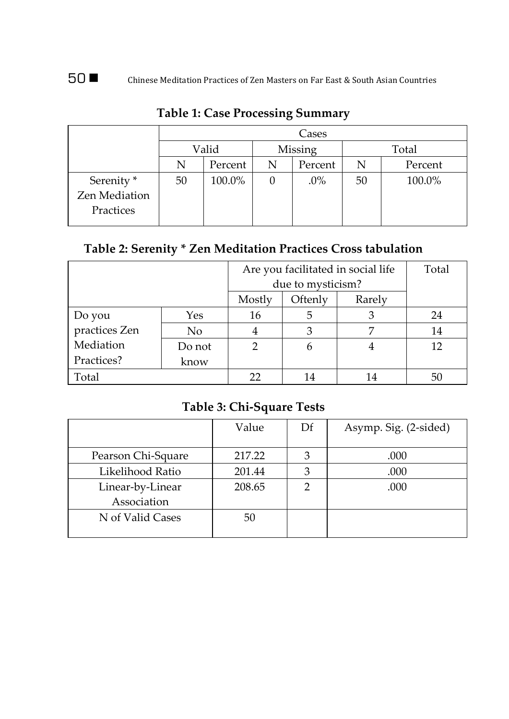|                                                     | Cases |         |         |         |       |         |
|-----------------------------------------------------|-------|---------|---------|---------|-------|---------|
|                                                     | Valid |         | Missing |         | Total |         |
|                                                     |       | Percent | N       | Percent | N     | Percent |
| Serenity <sup>*</sup><br>Zen Mediation<br>Practices | 50    | 100.0%  | U       | $.0\%$  | 50    | 100.0%  |

# **Table 1: Case Processing Summary**

# **Table 2: Serenity \* Zen Meditation Practices Cross tabulation**

|               |                   | Are you facilitated in social life | Total  |    |    |
|---------------|-------------------|------------------------------------|--------|----|----|
|               | due to mysticism? |                                    |        |    |    |
|               | Mostly            | Oftenly                            | Rarely |    |    |
| Do you        | Yes               | 16                                 | 5      |    | 24 |
| practices Zen | N <sub>0</sub>    |                                    | З      |    | 14 |
| Mediation     | Do not            |                                    |        |    | 12 |
| Practices?    | know              |                                    |        |    |    |
| Total         |                   |                                    |        | 14 | 50 |

## **Table 3: Chi-Square Tests**

|                    | Value  | Df            | Asymp. Sig. (2-sided) |
|--------------------|--------|---------------|-----------------------|
| Pearson Chi-Square | 217.22 | 3             | .000                  |
| Likelihood Ratio   | 201.44 | 3             | .000                  |
| Linear-by-Linear   | 208.65 | $\mathcal{P}$ | .000                  |
| Association        |        |               |                       |
| N of Valid Cases   | 50     |               |                       |
|                    |        |               |                       |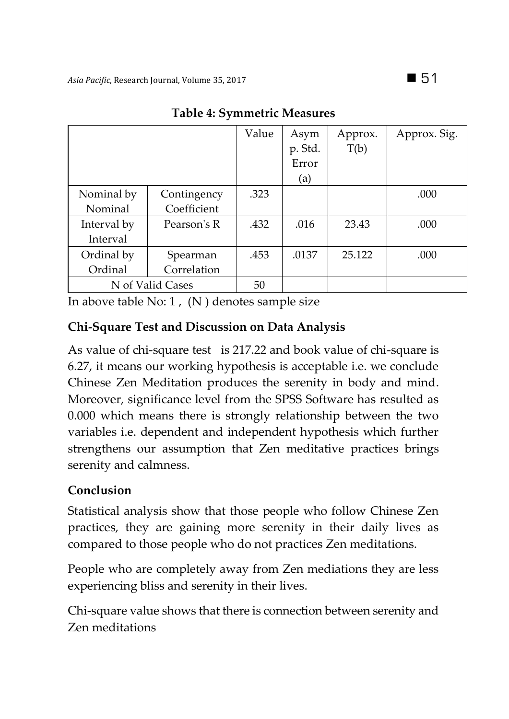|                  |             | Value | Asym<br>p. Std.<br>Error<br>(a) | Approx.<br>T(b) | Approx. Sig. |
|------------------|-------------|-------|---------------------------------|-----------------|--------------|
| Nominal by       | Contingency | .323  |                                 |                 | .000         |
| Nominal          | Coefficient |       |                                 |                 |              |
| Interval by      | Pearson's R | .432  | .016                            | 23.43           | .000         |
| Interval         |             |       |                                 |                 |              |
| Ordinal by       | Spearman    | .453  | .0137                           | 25.122          | .000         |
| Ordinal          | Correlation |       |                                 |                 |              |
| N of Valid Cases |             | 50    |                                 |                 |              |

## **Table 4: Symmetric Measures**

In above table No:  $1$ , (N) denotes sample size

# **Chi-Square Test and Discussion on Data Analysis**

As value of chi-square test is 217.22 and book value of chi-square is 6.27, it means our working hypothesis is acceptable i.e. we conclude Chinese Zen Meditation produces the serenity in body and mind. Moreover, significance level from the SPSS Software has resulted as 0.000 which means there is strongly relationship between the two variables i.e. dependent and independent hypothesis which further strengthens our assumption that Zen meditative practices brings serenity and calmness.

# **Conclusion**

Statistical analysis show that those people who follow Chinese Zen practices, they are gaining more serenity in their daily lives as compared to those people who do not practices Zen meditations.

People who are completely away from Zen mediations they are less experiencing bliss and serenity in their lives.

Chi-square value shows that there is connection between serenity and Zen meditations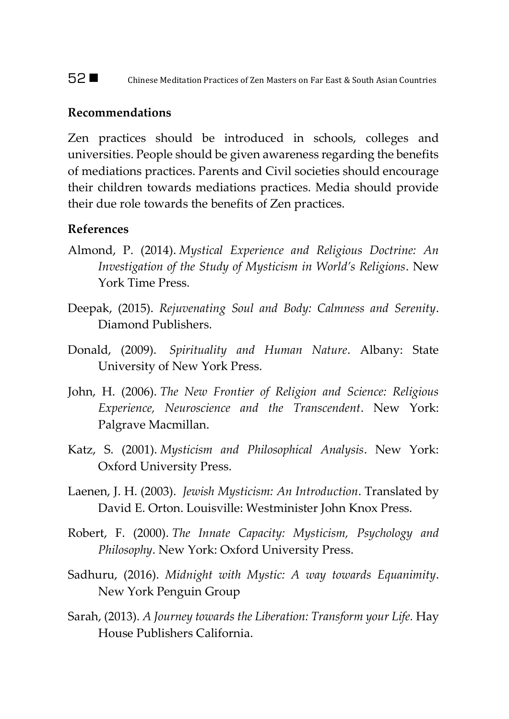#### **Recommendations**

Zen practices should be introduced in schools, colleges and universities. People should be given awareness regarding the benefits of mediations practices. Parents and Civil societies should encourage their children towards mediations practices. Media should provide their due role towards the benefits of Zen practices.

#### **References**

- Almond, P. (2014). *Mystical Experience and Religious Doctrine: An Investigation of the Study of Mysticism in World's Religions*. New York Time Press.
- Deepak, (2015). *Rejuvenating Soul and Body: Calmness and Serenity*. Diamond Publishers.
- Donald, (2009). *Spirituality and Human Nature*. Albany: State University of New York Press.
- John, H. (2006). *The New Frontier of Religion and Science: Religious Experience, Neuroscience and the Transcendent*. New York: Palgrave Macmillan.
- Katz, S. (2001). *Mysticism and Philosophical Analysis*. New York: Oxford University Press.
- Laenen, J. H. (2003). *Jewish Mysticism: An Introduction*. Translated by David E. Orton. Louisville: Westminister John Knox Press.
- Robert, F. (2000). *The Innate Capacity: Mysticism, Psychology and Philosophy*. New York: Oxford University Press.
- Sadhuru, (2016). *Midnight with Mystic: A way towards Equanimity*. New York Penguin Group
- Sarah, (2013). *A Journey towards the Liberation: Transform your Life.* Hay House Publishers California.